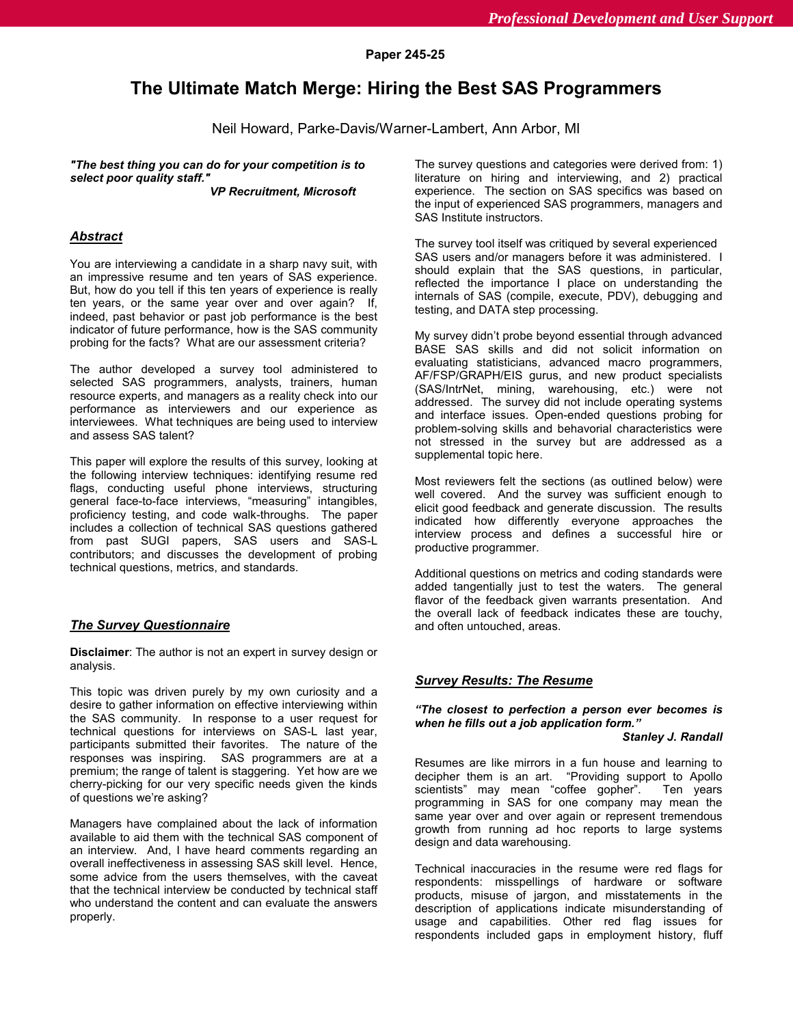# **The Ultimate Match Merge: Hiring the Best SAS Programmers**

Neil Howard, Parke-Davis/Warner-Lambert, Ann Arbor, MI

*"The best thing you can do for your competition is to select poor quality staff."*

*VP Recruitment, Microsoft*

# *Abstract*

You are interviewing a candidate in a sharp navy suit, with an impressive resume and ten years of SAS experience. But, how do you tell if this ten years of experience is really ten years, or the same year over and over again? If, indeed, past behavior or past job performance is the best indicator of future performance, how is the SAS community probing for the facts? What are our assessment criteria?

The author developed a survey tool administered to selected SAS programmers, analysts, trainers, human resource experts, and managers as a reality check into our performance as interviewers and our experience as interviewees. What techniques are being used to interview and assess SAS talent?

This paper will explore the results of this survey, looking at the following interview techniques: identifying resume red flags, conducting useful phone interviews, structuring general face-to-face interviews, "measuring" intangibles, proficiency testing, and code walk-throughs. The paper includes a collection of technical SAS questions gathered from past SUGI papers, SAS users and SAS-L contributors; and discusses the development of probing technical questions, metrics, and standards.

# *The Survey Questionnaire*

**Disclaimer**: The author is not an expert in survey design or analysis.

This topic was driven purely by my own curiosity and a desire to gather information on effective interviewing within the SAS community. In response to a user request for technical questions for interviews on SAS-L last year, participants submitted their favorites. The nature of the responses was inspiring. SAS programmers are at a premium; the range of talent is staggering. Yet how are we cherry-picking for our very specific needs given the kinds of questions we're asking?

Managers have complained about the lack of information available to aid them with the technical SAS component of an interview. And, I have heard comments regarding an overall ineffectiveness in assessing SAS skill level. Hence, some advice from the users themselves, with the caveat that the technical interview be conducted by technical staff who understand the content and can evaluate the answers properly.

The survey questions and categories were derived from: 1) literature on hiring and interviewing, and 2) practical experience. The section on SAS specifics was based on the input of experienced SAS programmers, managers and SAS Institute instructors.

The survey tool itself was critiqued by several experienced SAS users and/or managers before it was administered. I should explain that the SAS questions, in particular, reflected the importance I place on understanding the internals of SAS (compile, execute, PDV), debugging and testing, and DATA step processing.

My survey didn't probe beyond essential through advanced BASE SAS skills and did not solicit information on evaluating statisticians, advanced macro programmers, AF/FSP/GRAPH/EIS gurus, and new product specialists (SAS/IntrNet, mining, warehousing, etc.) were not addressed. The survey did not include operating systems and interface issues. Open-ended questions probing for problem-solving skills and behavorial characteristics were not stressed in the survey but are addressed as a supplemental topic here.

Most reviewers felt the sections (as outlined below) were well covered. And the survey was sufficient enough to elicit good feedback and generate discussion. The results indicated how differently everyone approaches the interview process and defines a successful hire or productive programmer.

Additional questions on metrics and coding standards were added tangentially just to test the waters. The general flavor of the feedback given warrants presentation. And the overall lack of feedback indicates these are touchy, and often untouched, areas.

### *Survey Results: The Resume*

# *"The closest to perfection a person ever becomes is when he fills out a job application form."*

*Stanley J. Randall*

Resumes are like mirrors in a fun house and learning to decipher them is an art. "Providing support to Apollo scientists" may mean "coffee gopher". Ten years programming in SAS for one company may mean the same year over and over again or represent tremendous growth from running ad hoc reports to large systems design and data warehousing.

Technical inaccuracies in the resume were red flags for respondents: misspellings of hardware or software products, misuse of jargon, and misstatements in the description of applications indicate misunderstanding of usage and capabilities. Other red flag issues for respondents included gaps in employment history, fluff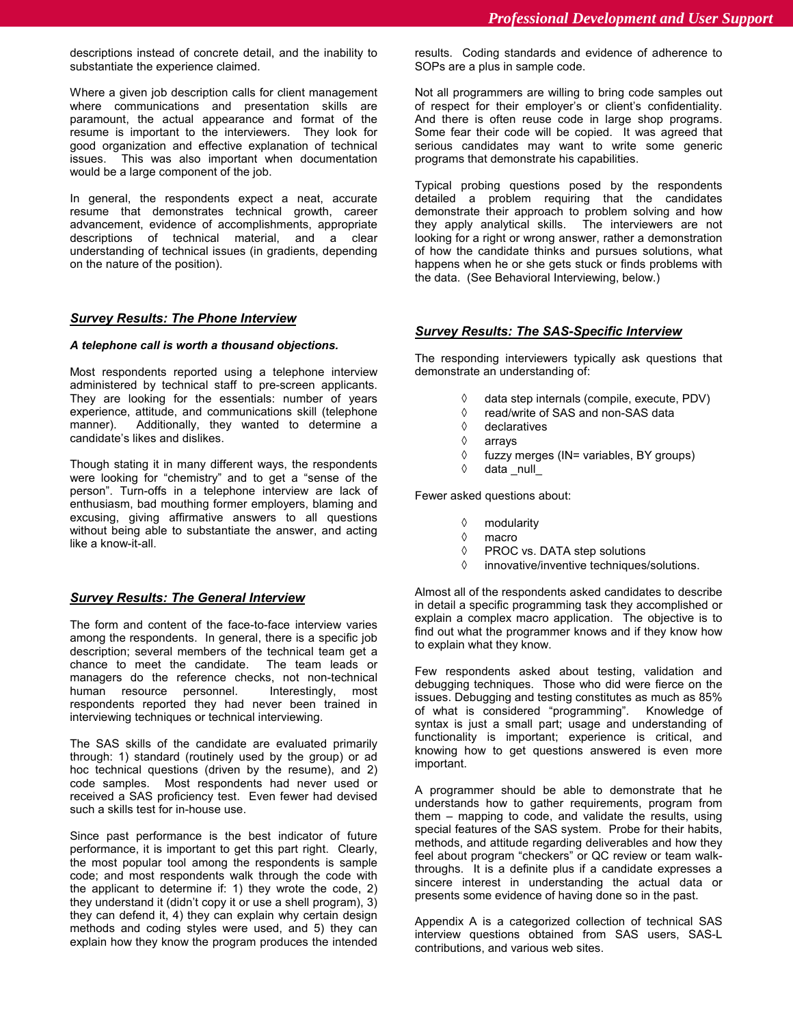descriptions instead of concrete detail, and the inability to substantiate the experience claimed.

Where a given job description calls for client management where communications and presentation skills are paramount, the actual appearance and format of the resume is important to the interviewers. They look for good organization and effective explanation of technical issues. This was also important when documentation would be a large component of the job.

In general, the respondents expect a neat, accurate resume that demonstrates technical growth, career advancement, evidence of accomplishments, appropriate descriptions of technical material, and a clear understanding of technical issues (in gradients, depending on the nature of the position).

## *Survey Results: The Phone Interview*

### *A telephone call is worth a thousand objections.*

Most respondents reported using a telephone interview administered by technical staff to pre-screen applicants. They are looking for the essentials: number of years experience, attitude, and communications skill (telephone manner). Additionally, they wanted to determine a candidate's likes and dislikes.

Though stating it in many different ways, the respondents were looking for "chemistry" and to get a "sense of the person". Turn-offs in a telephone interview are lack of enthusiasm, bad mouthing former employers, blaming and excusing, giving affirmative answers to all questions without being able to substantiate the answer, and acting like a know-it-all.

## *Survey Results: The General Interview*

The form and content of the face-to-face interview varies among the respondents. In general, there is a specific job description; several members of the technical team get a chance to meet the candidate. The team leads or managers do the reference checks, not non-technical human resource personnel. Interestingly, most respondents reported they had never been trained in interviewing techniques or technical interviewing.

The SAS skills of the candidate are evaluated primarily through: 1) standard (routinely used by the group) or ad hoc technical questions (driven by the resume), and 2) code samples. Most respondents had never used or received a SAS proficiency test. Even fewer had devised such a skills test for in-house use.

Since past performance is the best indicator of future performance, it is important to get this part right. Clearly, the most popular tool among the respondents is sample code; and most respondents walk through the code with the applicant to determine if: 1) they wrote the code, 2) they understand it (didn't copy it or use a shell program), 3) they can defend it, 4) they can explain why certain design methods and coding styles were used, and 5) they can explain how they know the program produces the intended results. Coding standards and evidence of adherence to SOPs are a plus in sample code.

Not all programmers are willing to bring code samples out of respect for their employer's or client's confidentiality. And there is often reuse code in large shop programs. Some fear their code will be copied. It was agreed that serious candidates may want to write some generic programs that demonstrate his capabilities.

Typical probing questions posed by the respondents detailed a problem requiring that the candidates demonstrate their approach to problem solving and how they apply analytical skills. The interviewers are not looking for a right or wrong answer, rather a demonstration of how the candidate thinks and pursues solutions, what happens when he or she gets stuck or finds problems with the data. (See Behavioral Interviewing, below.)

### *Survey Results: The SAS-Specific Interview*

The responding interviewers typically ask questions that demonstrate an understanding of:

- ◊ data step internals (compile, execute, PDV)
- ◊ read/write of SAS and non-SAS data
- ◊ declaratives
- ◊ arrays
- ◊ fuzzy merges (IN= variables, BY groups)
- ◊ data \_null\_

Fewer asked questions about:

- ◊ modularity
- ◊ macro
- ◊ PROC vs. DATA step solutions
- ◊ innovative/inventive techniques/solutions.

Almost all of the respondents asked candidates to describe in detail a specific programming task they accomplished or explain a complex macro application. The objective is to find out what the programmer knows and if they know how to explain what they know.

Few respondents asked about testing, validation and debugging techniques. Those who did were fierce on the issues. Debugging and testing constitutes as much as 85% of what is considered "programming". Knowledge of syntax is just a small part; usage and understanding of functionality is important; experience is critical, and knowing how to get questions answered is even more important.

A programmer should be able to demonstrate that he understands how to gather requirements, program from them – mapping to code, and validate the results, using special features of the SAS system. Probe for their habits, methods, and attitude regarding deliverables and how they feel about program "checkers" or QC review or team walkthroughs. It is a definite plus if a candidate expresses a sincere interest in understanding the actual data or presents some evidence of having done so in the past.

Appendix A is a categorized collection of technical SAS interview questions obtained from SAS users, SAS-L contributions, and various web sites.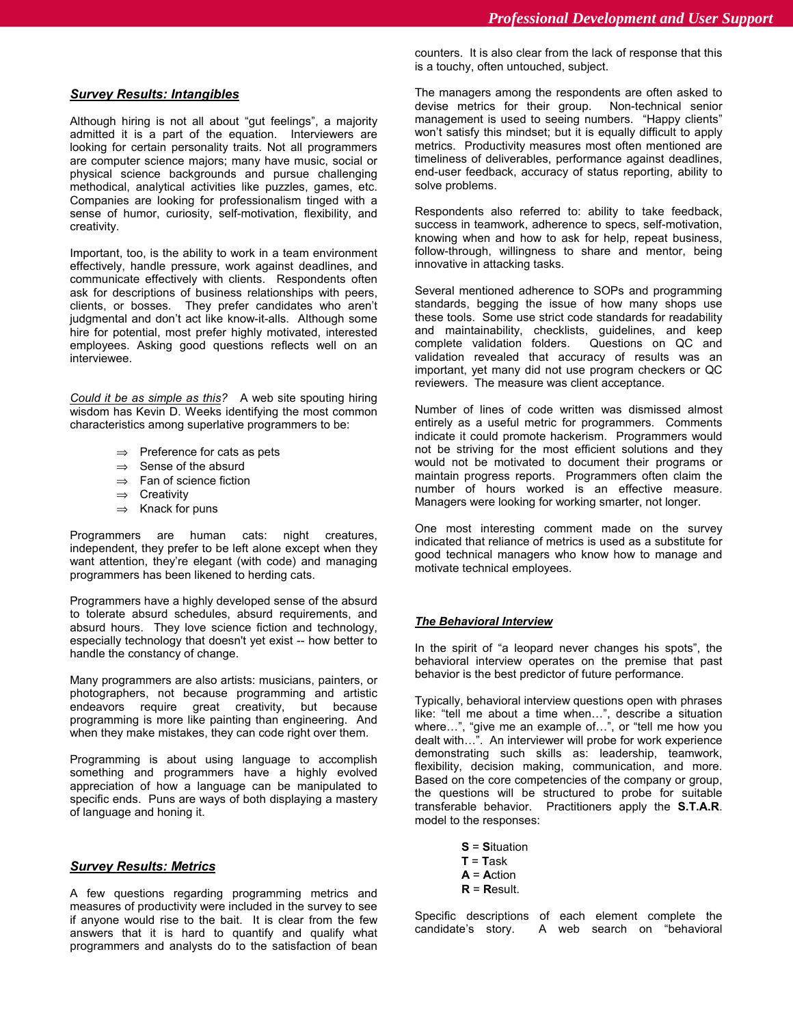### *Survey Results: Intangibles*

Although hiring is not all about "gut feelings", a majority admitted it is a part of the equation. Interviewers are looking for certain personality traits. Not all programmers are computer science majors; many have music, social or physical science backgrounds and pursue challenging methodical, analytical activities like puzzles, games, etc. Companies are looking for professionalism tinged with a sense of humor, curiosity, self-motivation, flexibility, and creativity.

Important, too, is the ability to work in a team environment effectively, handle pressure, work against deadlines, and communicate effectively with clients. Respondents often ask for descriptions of business relationships with peers, clients, or bosses. They prefer candidates who aren't judgmental and don't act like know-it-alls. Although some hire for potential, most prefer highly motivated, interested employees. Asking good questions reflects well on an interviewee.

*Could it be as simple as this?* A web site spouting hiring wisdom has Kevin D. Weeks identifying the most common characteristics among superlative programmers to be:

- ⇒ Preference for cats as pets
- ⇒ Sense of the absurd
- ⇒ Fan of science fiction
- ⇒ Creativity
- $\Rightarrow$  Knack for puns

Programmers are human cats: night creatures, independent, they prefer to be left alone except when they want attention, they're elegant (with code) and managing programmers has been likened to herding cats.

Programmers have a highly developed sense of the absurd to tolerate absurd schedules, absurd requirements, and absurd hours. They love science fiction and technology, especially technology that doesn't yet exist -- how better to handle the constancy of change.

Many programmers are also artists: musicians, painters, or photographers, not because programming and artistic endeavors require great creativity, but because programming is more like painting than engineering. And when they make mistakes, they can code right over them.

Programming is about using language to accomplish something and programmers have a highly evolved appreciation of how a language can be manipulated to specific ends. Puns are ways of both displaying a mastery of language and honing it.

### *Survey Results: Metrics*

A few questions regarding programming metrics and measures of productivity were included in the survey to see if anyone would rise to the bait. It is clear from the few answers that it is hard to quantify and qualify what programmers and analysts do to the satisfaction of bean

counters. It is also clear from the lack of response that this is a touchy, often untouched, subject.

The managers among the respondents are often asked to devise metrics for their group. Non-technical senior management is used to seeing numbers. "Happy clients" won't satisfy this mindset; but it is equally difficult to apply metrics. Productivity measures most often mentioned are timeliness of deliverables, performance against deadlines, end-user feedback, accuracy of status reporting, ability to solve problems.

Respondents also referred to: ability to take feedback, success in teamwork, adherence to specs, self-motivation, knowing when and how to ask for help, repeat business, follow-through, willingness to share and mentor, being innovative in attacking tasks.

Several mentioned adherence to SOPs and programming standards, begging the issue of how many shops use these tools. Some use strict code standards for readability and maintainability, checklists, guidelines, and keep complete validation folders. validation revealed that accuracy of results was an important, yet many did not use program checkers or QC reviewers. The measure was client acceptance.

Number of lines of code written was dismissed almost entirely as a useful metric for programmers. Comments indicate it could promote hackerism. Programmers would not be striving for the most efficient solutions and they would not be motivated to document their programs or maintain progress reports. Programmers often claim the number of hours worked is an effective measure. Managers were looking for working smarter, not longer.

One most interesting comment made on the survey indicated that reliance of metrics is used as a substitute for good technical managers who know how to manage and motivate technical employees.

### *The Behavioral Interview*

In the spirit of "a leopard never changes his spots", the behavioral interview operates on the premise that past behavior is the best predictor of future performance.

Typically, behavioral interview questions open with phrases like: "tell me about a time when…", describe a situation where…", "give me an example of…", or "tell me how you dealt with…". An interviewer will probe for work experience demonstrating such skills as: leadership, teamwork, flexibility, decision making, communication, and more. Based on the core competencies of the company or group, the questions will be structured to probe for suitable transferable behavior. Practitioners apply the **S.T.A.R**. model to the responses:

> **S** = **S**ituation  $T = Task$ **A** = **A**ction **R** = **R**esult.

Specific descriptions of each element complete the candidate's story. A web search on "behavioral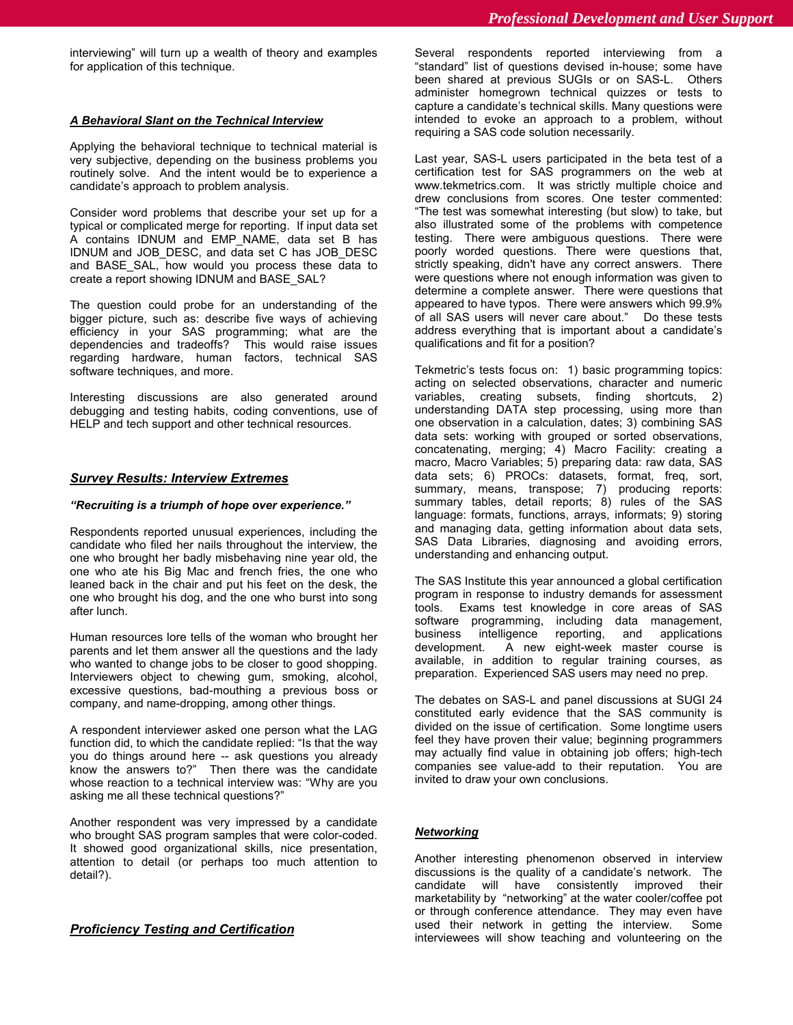interviewing" will turn up a wealth of theory and examples for application of this technique.

### *A Behavioral Slant on the Technical Interview*

Applying the behavioral technique to technical material is very subjective, depending on the business problems you routinely solve. And the intent would be to experience a candidate's approach to problem analysis.

Consider word problems that describe your set up for a typical or complicated merge for reporting. If input data set A contains IDNUM and EMP\_NAME, data set B has IDNUM and JOB\_DESC, and data set C has JOB\_DESC and BASE\_SAL, how would you process these data to create a report showing IDNUM and BASE\_SAL?

The question could probe for an understanding of the bigger picture, such as: describe five ways of achieving efficiency in your SAS programming; what are the dependencies and tradeoffs? This would raise issues regarding hardware, human factors, technical SAS software techniques, and more.

Interesting discussions are also generated around debugging and testing habits, coding conventions, use of HELP and tech support and other technical resources.

### *Survey Results: Interview Extremes*

### *"Recruiting is a triumph of hope over experience."*

Respondents reported unusual experiences, including the candidate who filed her nails throughout the interview, the one who brought her badly misbehaving nine year old, the one who ate his Big Mac and french fries, the one who leaned back in the chair and put his feet on the desk, the one who brought his dog, and the one who burst into song after lunch.

Human resources lore tells of the woman who brought her parents and let them answer all the questions and the lady who wanted to change jobs to be closer to good shopping. Interviewers object to chewing gum, smoking, alcohol, excessive questions, bad-mouthing a previous boss or company, and name-dropping, among other things.

A respondent interviewer asked one person what the LAG function did, to which the candidate replied: "Is that the way you do things around here -- ask questions you already know the answers to?" Then there was the candidate whose reaction to a technical interview was: "Why are you asking me all these technical questions?"

Another respondent was very impressed by a candidate who brought SAS program samples that were color-coded. It showed good organizational skills, nice presentation, attention to detail (or perhaps too much attention to detail?).

### *Proficiency Testing and Certification*

Several respondents reported interviewing from a "standard" list of questions devised in-house; some have been shared at previous SUGIs or on SAS-L. Others administer homegrown technical quizzes or tests to capture a candidate's technical skills. Many questions were intended to evoke an approach to a problem, without requiring a SAS code solution necessarily.

Last year, SAS-L users participated in the beta test of a certification test for SAS programmers on the web at www.tekmetrics.com. It was strictly multiple choice and drew conclusions from scores. One tester commented: "The test was somewhat interesting (but slow) to take, but also illustrated some of the problems with competence testing. There were ambiguous questions. There were poorly worded questions. There were questions that, strictly speaking, didn't have any correct answers. There were questions where not enough information was given to determine a complete answer. There were questions that appeared to have typos. There were answers which 99.9% of all SAS users will never care about." Do these tests address everything that is important about a candidate's qualifications and fit for a position?

Tekmetric's tests focus on: 1) basic programming topics: acting on selected observations, character and numeric variables, creating subsets, finding shortcuts, 2) understanding DATA step processing, using more than one observation in a calculation, dates; 3) combining SAS data sets: working with grouped or sorted observations, concatenating, merging; 4) Macro Facility: creating a macro, Macro Variables; 5) preparing data: raw data, SAS data sets; 6) PROCs: datasets, format, freq, sort, summary, means, transpose; 7) producing reports: summary tables, detail reports; 8) rules of the SAS language: formats, functions, arrays, informats; 9) storing and managing data, getting information about data sets, SAS Data Libraries, diagnosing and avoiding errors, understanding and enhancing output.

The SAS Institute this year announced a global certification program in response to industry demands for assessment tools. Exams test knowledge in core areas of SAS software programming, including data management, business intelligence reporting, and applications development. A new eight-week master course is available, in addition to regular training courses, as preparation. Experienced SAS users may need no prep.

The debates on SAS-L and panel discussions at SUGI 24 constituted early evidence that the SAS community is divided on the issue of certification. Some longtime users feel they have proven their value; beginning programmers may actually find value in obtaining job offers; high-tech companies see value-add to their reputation. You are invited to draw your own conclusions.

### *Networking*

Another interesting phenomenon observed in interview discussions is the quality of a candidate's network. The candidate will have consistently improved their marketability by "networking" at the water cooler/coffee pot or through conference attendance. They may even have used their network in getting the interview. Some interviewees will show teaching and volunteering on the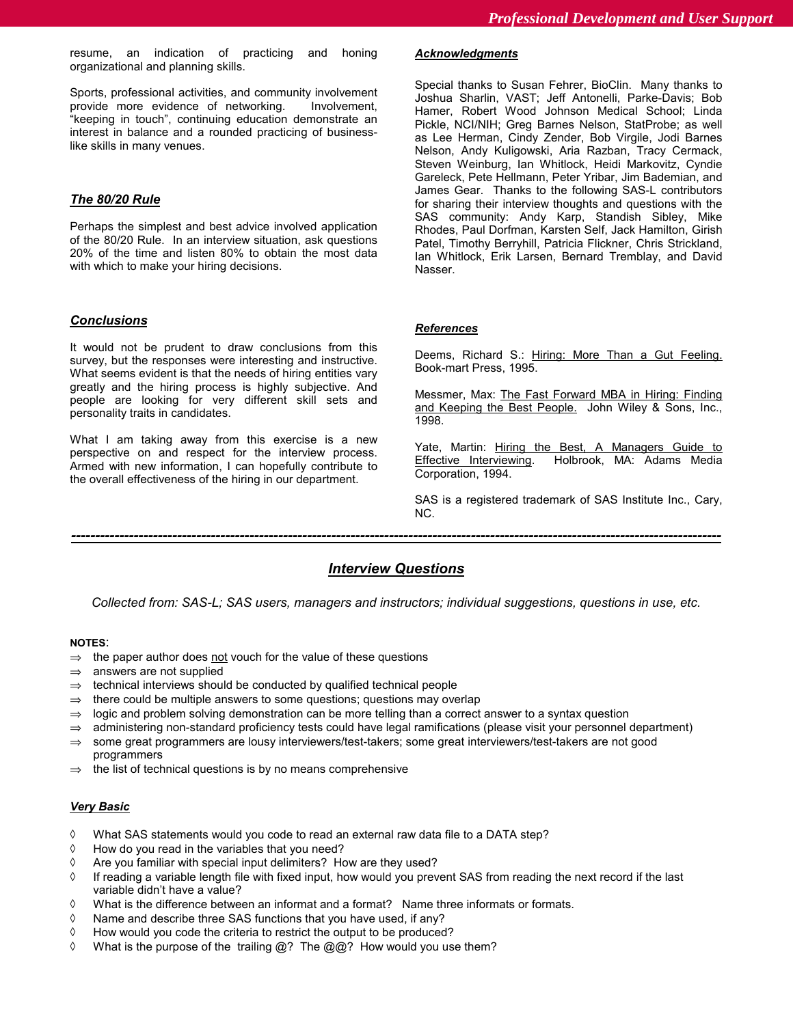resume, an indication of practicing and honing organizational and planning skills.

Sports, professional activities, and community involvement provide more evidence of networking. Involvement, "keeping in touch", continuing education demonstrate an interest in balance and a rounded practicing of businesslike skills in many venues.

# *The 80/20 Rule*

Perhaps the simplest and best advice involved application of the 80/20 Rule. In an interview situation, ask questions 20% of the time and listen 80% to obtain the most data with which to make your hiring decisions.

# *Conclusions*

It would not be prudent to draw conclusions from this survey, but the responses were interesting and instructive. What seems evident is that the needs of hiring entities vary greatly and the hiring process is highly subjective. And people are looking for very different skill sets and personality traits in candidates.

What I am taking away from this exercise is a new perspective on and respect for the interview process. Armed with new information, I can hopefully contribute to the overall effectiveness of the hiring in our department.

### *Acknowledgments*

Special thanks to Susan Fehrer, BioClin. Many thanks to Joshua Sharlin, VAST; Jeff Antonelli, Parke-Davis; Bob Hamer, Robert Wood Johnson Medical School; Linda Pickle, NCI/NIH; Greg Barnes Nelson, StatProbe; as well as Lee Herman, Cindy Zender, Bob Virgile, Jodi Barnes Nelson, Andy Kuligowski, Aria Razban, Tracy Cermack, Steven Weinburg, Ian Whitlock, Heidi Markovitz, Cyndie Gareleck, Pete Hellmann, Peter Yribar, Jim Bademian, and James Gear. Thanks to the following SAS-L contributors for sharing their interview thoughts and questions with the SAS community: Andy Karp, Standish Sibley, Mike Rhodes, Paul Dorfman, Karsten Self, Jack Hamilton, Girish Patel, Timothy Berryhill, Patricia Flickner, Chris Strickland, Ian Whitlock, Erik Larsen, Bernard Tremblay, and David Nasser.

## *References*

Deems, Richard S.: Hiring: More Than a Gut Feeling. Book-mart Press, 1995.

Messmer, Max: The Fast Forward MBA in Hiring: Finding and Keeping the Best People. John Wiley & Sons, Inc., 1998.

Yate, Martin: Hiring the Best, A Managers Guide to Effective Interviewing. Holbrook, MA: Adams Media Corporation, 1994.

SAS is a registered trademark of SAS Institute Inc., Cary, NC.

# *---------------------------------------------------------------------------------------------------------------------------------------*

# *Interview Questions*

*Collected from: SAS-L; SAS users, managers and instructors; individual suggestions, questions in use, etc.*

### **NOTES**:

- $\Rightarrow$  the paper author does not vouch for the value of these questions
- $\Rightarrow$  answers are not supplied
- $\Rightarrow$  technical interviews should be conducted by qualified technical people
- $\Rightarrow$  there could be multiple answers to some questions; questions may overlap
- $\Rightarrow$  logic and problem solving demonstration can be more telling than a correct answer to a syntax question
- $\Rightarrow$  administering non-standard proficiency tests could have legal ramifications (please visit your personnel department)
- ⇒ some great programmers are lousy interviewers/test-takers; some great interviewers/test-takers are not good programmers
- ⇒ the list of technical questions is by no means comprehensive

### *Very Basic*

- ◊ What SAS statements would you code to read an external raw data file to a DATA step?
- ◊ How do you read in the variables that you need?
- ◊ Are you familiar with special input delimiters? How are they used?
- ◊ If reading a variable length file with fixed input, how would you prevent SAS from reading the next record if the last variable didn't have a value?
- ◊ What is the difference between an informat and a format? Name three informats or formats.
- ◊ Name and describe three SAS functions that you have used, if any?
- ◊ How would you code the criteria to restrict the output to be produced?
- ◊ What is the purpose of the trailing @? The @@? How would you use them?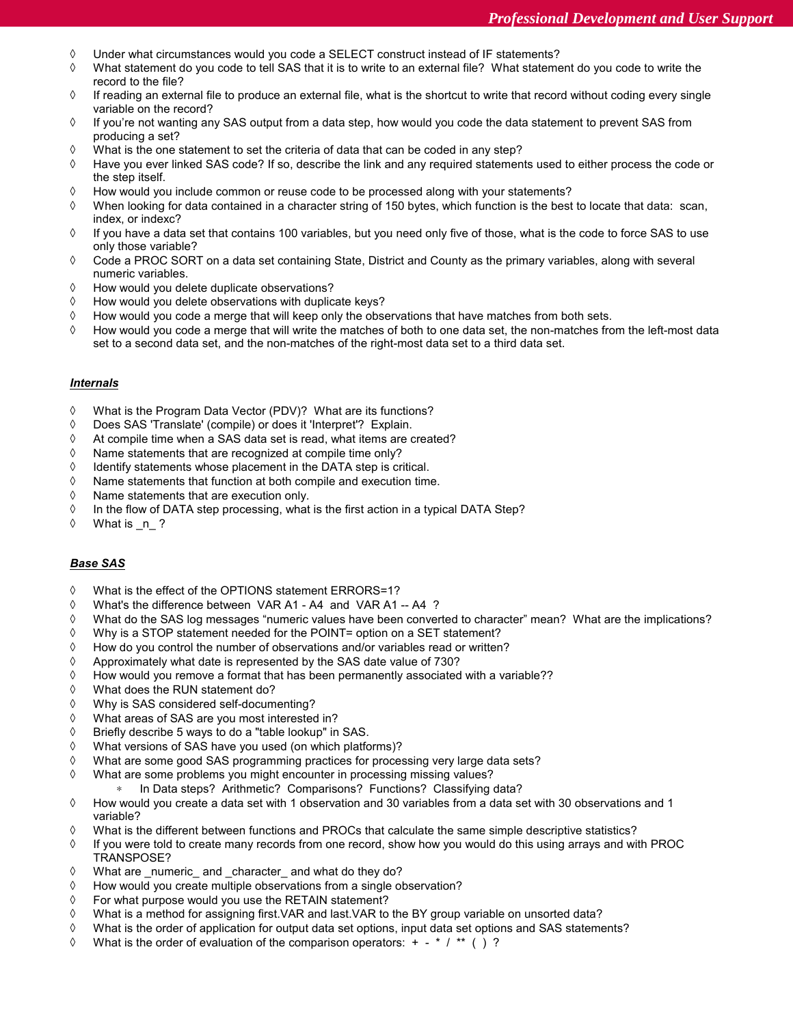- ◊ Under what circumstances would you code a SELECT construct instead of IF statements?
- ◊ What statement do you code to tell SAS that it is to write to an external file? What statement do you code to write the record to the file?
- ◊ If reading an external file to produce an external file, what is the shortcut to write that record without coding every single variable on the record?
- ◊ If you're not wanting any SAS output from a data step, how would you code the data statement to prevent SAS from producing a set?
- ◊ What is the one statement to set the criteria of data that can be coded in any step?
- ◊ Have you ever linked SAS code? If so, describe the link and any required statements used to either process the code or the step itself.
- ◊ How would you include common or reuse code to be processed along with your statements?
- ◊ When looking for data contained in a character string of 150 bytes, which function is the best to locate that data: scan, index, or indexc?
- ◊ If you have a data set that contains 100 variables, but you need only five of those, what is the code to force SAS to use only those variable?
- ◊ Code a PROC SORT on a data set containing State, District and County as the primary variables, along with several numeric variables.
- ◊ How would you delete duplicate observations?
- ◊ How would you delete observations with duplicate keys?
- ◊ How would you code a merge that will keep only the observations that have matches from both sets.
- ◊ How would you code a merge that will write the matches of both to one data set, the non-matches from the left-most data set to a second data set, and the non-matches of the right-most data set to a third data set.

## *Internals*

- ◊ What is the Program Data Vector (PDV)? What are its functions?
- ◊ Does SAS 'Translate' (compile) or does it 'Interpret'? Explain.
- ◊ At compile time when a SAS data set is read, what items are created?
- ◊ Name statements that are recognized at compile time only?
- ◊ Identify statements whose placement in the DATA step is critical.
- ◊ Name statements that function at both compile and execution time.
- ◊ Name statements that are execution only.
- ◊ In the flow of DATA step processing, what is the first action in a typical DATA Step?
- ◊ What is \_n\_ ?

# *Base SAS*

- ◊ What is the effect of the OPTIONS statement ERRORS=1?
- ◊ What's the difference between VAR A1 A4 and VAR A1 -- A4 ?
- ◊ What do the SAS log messages "numeric values have been converted to character" mean? What are the implications?
- ◊ Why is a STOP statement needed for the POINT= option on a SET statement?
- ◊ How do you control the number of observations and/or variables read or written?
- ◊ Approximately what date is represented by the SAS date value of 730?
- ◊ How would you remove a format that has been permanently associated with a variable??
- ◊ What does the RUN statement do?
- ◊ Why is SAS considered self-documenting?
- ◊ What areas of SAS are you most interested in?
- ◊ Briefly describe 5 ways to do a "table lookup" in SAS.
- ◊ What versions of SAS have you used (on which platforms)?
- ◊ What are some good SAS programming practices for processing very large data sets?
- ◊ What are some problems you might encounter in processing missing values?
	- In Data steps? Arithmetic? Comparisons? Functions? Classifying data?
- ◊ How would you create a data set with 1 observation and 30 variables from a data set with 30 observations and 1 variable?
- ◊ What is the different between functions and PROCs that calculate the same simple descriptive statistics?
- ◊ If you were told to create many records from one record, show how you would do this using arrays and with PROC TRANSPOSE?
- ◊ What are \_numeric\_ and \_character\_ and what do they do?
- ◊ How would you create multiple observations from a single observation?
- ◊ For what purpose would you use the RETAIN statement?
- ◊ What is a method for assigning first.VAR and last.VAR to the BY group variable on unsorted data?
- ◊ What is the order of application for output data set options, input data set options and SAS statements?
- ◊ What is the order of evaluation of the comparison operators: + \* / \*\* ( ) ?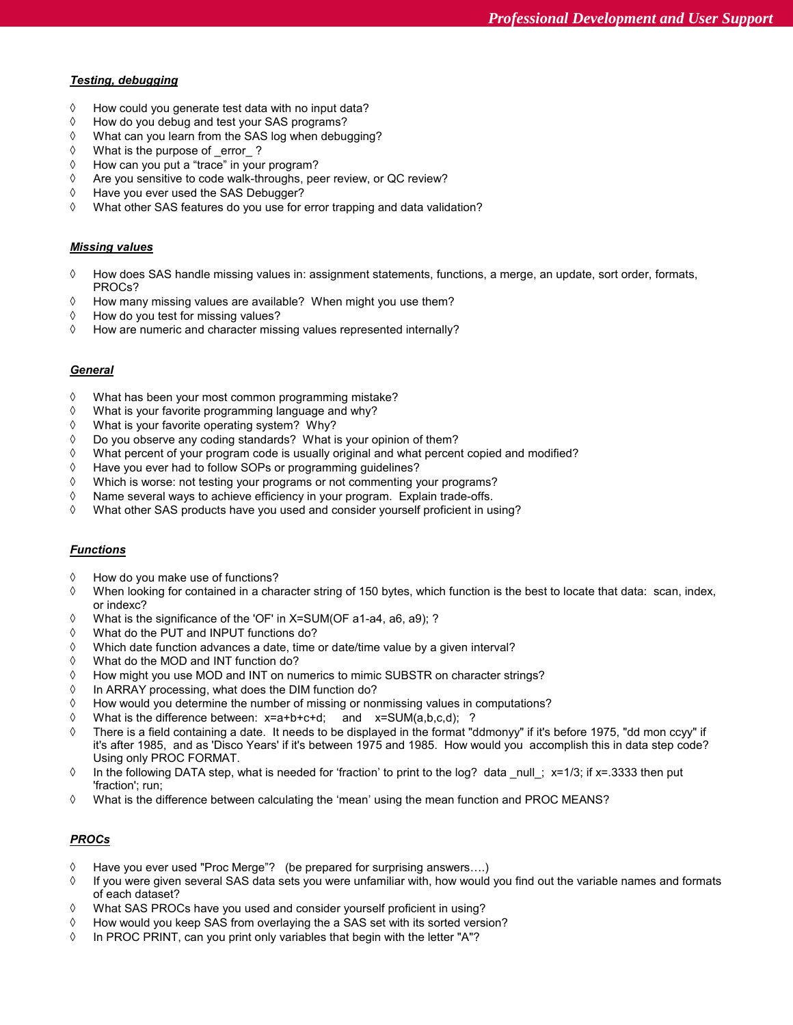### *Testing, debugging*

- ◊ How could you generate test data with no input data?
- ◊ How do you debug and test your SAS programs?
- ◊ What can you learn from the SAS log when debugging?
- ◊ What is the purpose of \_error\_ ?
- ◊ How can you put a "trace" in your program?
- ◊ Are you sensitive to code walk-throughs, peer review, or QC review?
- ◊ Have you ever used the SAS Debugger?
- ◊ What other SAS features do you use for error trapping and data validation?

### *Missing values*

- ◊ How does SAS handle missing values in: assignment statements, functions, a merge, an update, sort order, formats, PROCs?
- ◊ How many missing values are available? When might you use them?
- ◊ How do you test for missing values?
- ◊ How are numeric and character missing values represented internally?

## *General*

- ◊ What has been your most common programming mistake?
- ◊ What is your favorite programming language and why?
- ◊ What is your favorite operating system? Why?
- ◊ Do you observe any coding standards? What is your opinion of them?
- ◊ What percent of your program code is usually original and what percent copied and modified?
- ◊ Have you ever had to follow SOPs or programming guidelines?
- ◊ Which is worse: not testing your programs or not commenting your programs?
- ◊ Name several ways to achieve efficiency in your program. Explain trade-offs.
- ◊ What other SAS products have you used and consider yourself proficient in using?

### *Functions*

- ◊ How do you make use of functions?
- ◊ When looking for contained in a character string of 150 bytes, which function is the best to locate that data: scan, index, or indexc?
- ◊ What is the significance of the 'OF' in X=SUM(OF a1-a4, a6, a9); ?
- ◊ What do the PUT and INPUT functions do?
- ◊ Which date function advances a date, time or date/time value by a given interval?
- ◊ What do the MOD and INT function do?
- ◊ How might you use MOD and INT on numerics to mimic SUBSTR on character strings?
- ◊ In ARRAY processing, what does the DIM function do?
- ◊ How would you determine the number of missing or nonmissing values in computations?
- ◊ What is the difference between: x=a+b+c+d; and x=SUM(a,b,c,d); ?
- ◊ There is a field containing a date. It needs to be displayed in the format "ddmonyy" if it's before 1975, "dd mon ccyy" if it's after 1985, and as 'Disco Years' if it's between 1975 and 1985. How would you accomplish this in data step code? Using only PROC FORMAT.
- $\Diamond$  In the following DATA step, what is needed for 'fraction' to print to the log? data null; x=1/3; if x=.3333 then put 'fraction'; run;
- ◊ What is the difference between calculating the 'mean' using the mean function and PROC MEANS?

# *PROCs*

- ◊ Have you ever used "Proc Merge"? (be prepared for surprising answers….)
- ◊ If you were given several SAS data sets you were unfamiliar with, how would you find out the variable names and formats of each dataset?
- ◊ What SAS PROCs have you used and consider yourself proficient in using?
- ◊ How would you keep SAS from overlaying the a SAS set with its sorted version?
- ◊ In PROC PRINT, can you print only variables that begin with the letter "A"?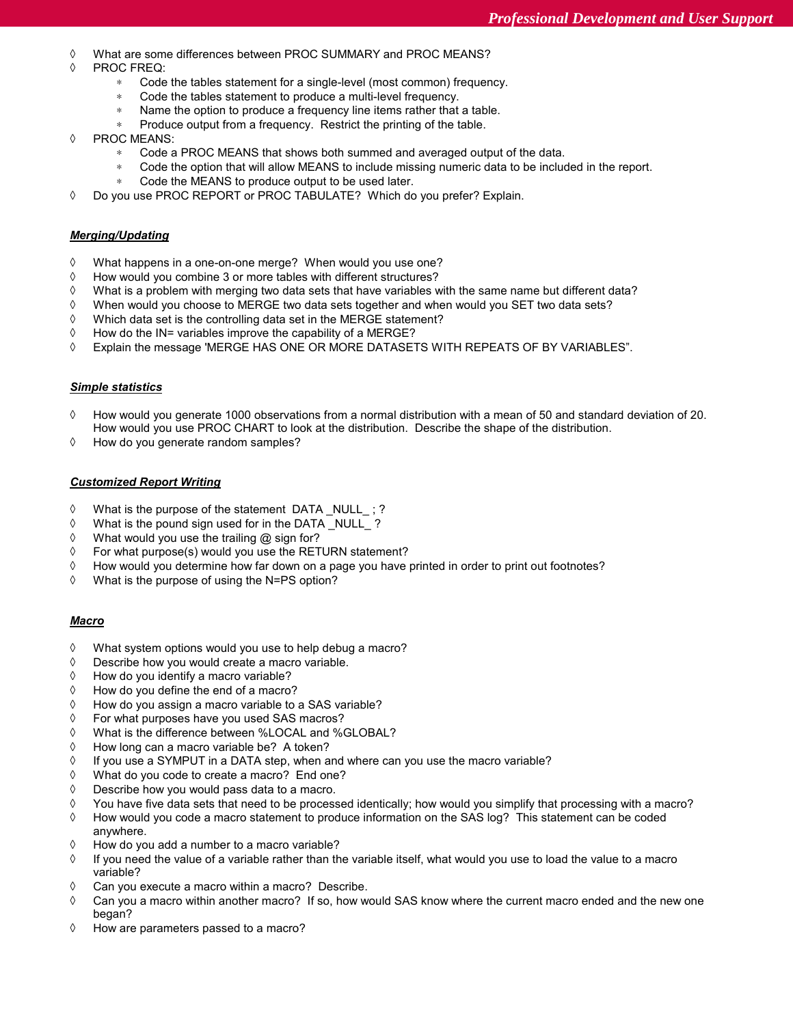- ◊ What are some differences between PROC SUMMARY and PROC MEANS?
- ◊ PROC FREQ:
	- Code the tables statement for a single-level (most common) frequency.
	- ∗ Code the tables statement to produce a multi-level frequency.
	- Name the option to produce a frequency line items rather that a table.
	- Produce output from a frequency. Restrict the printing of the table.
- ◊ PROC MEANS:
	- Code a PROC MEANS that shows both summed and averaged output of the data.
	- Code the option that will allow MEANS to include missing numeric data to be included in the report.
		- Code the MEANS to produce output to be used later.
- ◊ Do you use PROC REPORT or PROC TABULATE? Which do you prefer? Explain.

### *Merging/Updating*

- ◊ What happens in a one-on-one merge? When would you use one?
- ◊ How would you combine 3 or more tables with different structures?
- ◊ What is a problem with merging two data sets that have variables with the same name but different data?
- ◊ When would you choose to MERGE two data sets together and when would you SET two data sets?
- ◊ Which data set is the controlling data set in the MERGE statement?
- ◊ How do the IN= variables improve the capability of a MERGE?
- ◊ Explain the message 'MERGE HAS ONE OR MORE DATASETS WITH REPEATS OF BY VARIABLES".

### *Simple statistics*

- ◊ How would you generate 1000 observations from a normal distribution with a mean of 50 and standard deviation of 20. How would you use PROC CHART to look at the distribution. Describe the shape of the distribution.
- ◊ How do you generate random samples?

### *Customized Report Writing*

- ◊ What is the purpose of the statement DATA \_NULL\_ ; ?
- ◊ What is the pound sign used for in the DATA \_NULL\_ ?
- ◊ What would you use the trailing @ sign for?
- ◊ For what purpose(s) would you use the RETURN statement?
- ◊ How would you determine how far down on a page you have printed in order to print out footnotes?
- ◊ What is the purpose of using the N=PS option?

### *Macro*

- ◊ What system options would you use to help debug a macro?
- ◊ Describe how you would create a macro variable.
- ◊ How do you identify a macro variable?
- ◊ How do you define the end of a macro?
- ◊ How do you assign a macro variable to a SAS variable?
- ◊ For what purposes have you used SAS macros?
- ◊ What is the difference between %LOCAL and %GLOBAL?
- ◊ How long can a macro variable be? A token?
- ◊ If you use a SYMPUT in a DATA step, when and where can you use the macro variable?
- ◊ What do you code to create a macro? End one?
- ◊ Describe how you would pass data to a macro.
- ◊ You have five data sets that need to be processed identically; how would you simplify that processing with a macro?
- ◊ How would you code a macro statement to produce information on the SAS log? This statement can be coded anywhere.
- ◊ How do you add a number to a macro variable?
- ◊ If you need the value of a variable rather than the variable itself, what would you use to load the value to a macro variable?
- ◊ Can you execute a macro within a macro? Describe.
- ◊ Can you a macro within another macro? If so, how would SAS know where the current macro ended and the new one began?
- ◊ How are parameters passed to a macro?